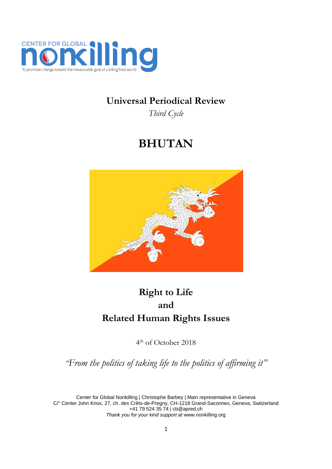

## **Universal Periodical Review**

*Third Cycle*

# **BHUTAN**



## **Right to Life and Related Human Rights Issues**

4 th of October 2018

*"From the politics of taking life to the politics of affirming it"*

Center for Global Nonkilling | Christophe Barbey | Main representative in Geneva C/° Center John Knox, 27, ch. des Crêts-de-Pregny, CH-1218 Grand-Saconnex, Geneva, Switzerland +41 79 524 35 74 [| cb@apred.ch](mailto:cb@apred.ch) *Thank you for your kind support at* [www.nonkilling.org](http://www.nonkilling.org/)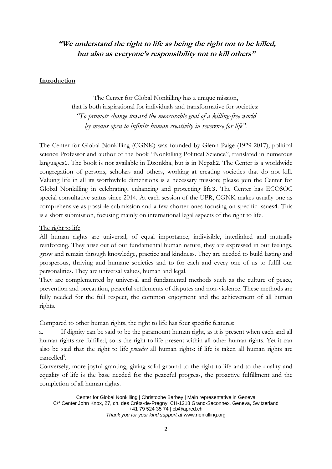## **"We understand the right to life as being the right not to be killed, but also as everyone's responsibility not to kill others"**

#### **Introduction**

The Center for Global Nonkilling has a unique mission, that is both inspirational for individuals and transformative for societies: *"To promote change toward the measurable goal of a killing-free world by means open to infinite human creativity in reverence for life".*

The Center for Global Nonkilling (CGNK) was founded by Glenn Paige (1929-2017), political science Professor and author of the book "Nonkilling Political Science", translated in numerous languages1. The book is not available in Dzonkha, but is in Nepali2. The Center is a worldwide congregation of persons, scholars and others, working at creating societies that do not kill. Valuing life in all its worthwhile dimensions is a necessary mission; please join the Center for Global Nonkilling in celebrating, enhancing and protecting life3. The Center has ECOSOC special consultative status since 2014. At each session of the UPR, CGNK makes usually one as comprehensive as possible submission and a few shorter ones focusing on specific issues4. This is a short submission, focusing mainly on international legal aspects of the right to life.

The right to life

All human rights are universal, of equal importance, indivisible, interlinked and mutually reinforcing. They arise out of our fundamental human nature, they are expressed in our feelings, grow and remain through knowledge, practice and kindness. They are needed to build lasting and prosperous, thriving and humane societies and to for each and every one of us to fulfil our personalities. They are universal values, human and legal.

They are complemented by universal and fundamental methods such as the culture of peace, prevention and precaution, peaceful settlements of disputes and non-violence. These methods are fully needed for the full respect, the common enjoyment and the achievement of all human rights.

Compared to other human rights, the right to life has four specific features:

a. If dignity can be said to be the paramount human right, as it is present when each and all human rights are fulfilled, so is the right to life present within all other human rights. Yet it can also be said that the right to life *precedes* all human rights: if life is taken all human rights are cancelled<sup>5</sup>.

Conversely, more joyful granting, giving solid ground to the right to life and to the quality and equality of life is the base needed for the peaceful progress, the proactive fulfillment and the completion of all human rights.

Center for Global Nonkilling | Christophe Barbey | Main representative in Geneva C/° Center John Knox, 27, ch. des Crêts-de-Pregny, CH-1218 Grand-Saconnex, Geneva, Switzerland +41 79 524 35 74 [| cb@apred.ch](mailto:cb@apred.ch) *Thank you for your kind support at* [www.nonkilling.org](http://www.nonkilling.org/)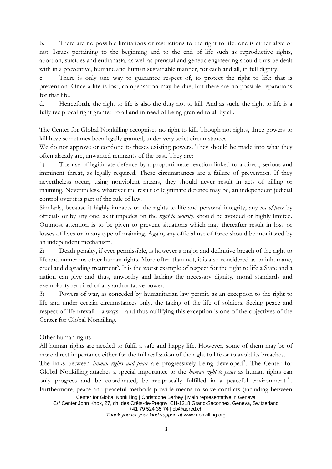b. There are no possible limitations or restrictions to the right to life: one is either alive or not. Issues pertaining to the beginning and to the end of life such as reproductive rights, abortion, suicides and euthanasia, as well as prenatal and genetic engineering should thus be dealt with in a preventive, humane and human sustainable manner, for each and all, in full dignity.

c. There is only one way to guarantee respect of, to protect the right to life: that is prevention. Once a life is lost, compensation may be due, but there are no possible reparations for that life.

d. Henceforth, the right to life is also the duty not to kill. And as such, the right to life is a fully reciprocal right granted to all and in need of being granted to all by all.

The Center for Global Nonkilling recognises no right to kill. Though not rights, three powers to kill have sometimes been legally granted, under very strict circumstances.

We do not approve or condone to theses existing powers. They should be made into what they often already are, unwanted remnants of the past. They are:

1) The use of legitimate defence by a proportionate reaction linked to a direct, serious and imminent threat, as legally required. These circumstances are a failure of prevention. If they nevertheless occur, using nonviolent means, they should never result in acts of killing or maiming. Nevertheless, whatever the result of legitimate defence may be, an independent judicial control over it is part of the rule of law.

Similarly, because it highly impacts on the rights to life and personal integrity, any *use of force* by officials or by any one, as it impedes on the *right to security*, should be avoided or highly limited. Outmost attention is to be given to prevent situations which may thereafter result in loss or losses of lives or in any type of maiming. Again, any official use of force should be monitored by an independent mechanism.

2) Death penalty, if ever permissible, is however a major and definitive breach of the right to life and numerous other human rights. More often than not, it is also considered as an inhumane, cruel and degrading treatment<sup>6</sup>. It is the worst example of respect for the right to life a State and a nation can give and thus, unworthy and lacking the necessary dignity, moral standards and exemplarity required of any authoritative power.

3) Powers of war, as conceded by humanitarian law permit, as an exception to the right to life and under certain circumstances only, the taking of the life of soldiers. Seeing peace and respect of life prevail – always – and thus nullifying this exception is one of the objectives of the Center for Global Nonkilling.

### Other human rights

All human rights are needed to fulfil a safe and happy life. However, some of them may be of more direct importance either for the full realisation of the right to life or to avoid its breaches.

The links between *human rights and peace* are progressively being developed<sup>7</sup>. The Center for Global Nonkilling attaches a special importance to the *human right to peace* as human rights can only progress and be coordinated, be reciprocally fulfilled in a peaceful environment<sup>8</sup>. Furthermore, peace and peaceful methods provide means to solve conflicts (including between

Center for Global Nonkilling | Christophe Barbey | Main representative in Geneva C/° Center John Knox, 27, ch. des Crêts-de-Pregny, CH-1218 Grand-Saconnex, Geneva, Switzerland +41 79 524 35 74 [| cb@apred.ch](mailto:cb@apred.ch)

*Thank you for your kind support at* [www.nonkilling.org](http://www.nonkilling.org/)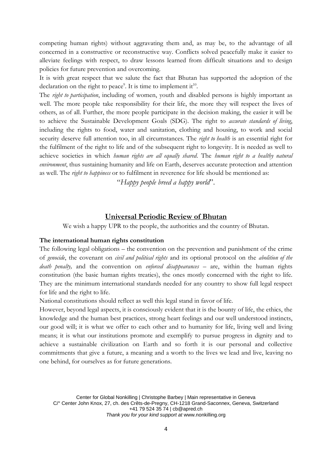competing human rights) without aggravating them and, as may be, to the advantage of all concerned in a constructive or reconstructive way. Conflicts solved peacefully make it easier to alleviate feelings with respect, to draw lessons learned from difficult situations and to design policies for future prevention and overcoming.

It is with great respect that we salute the fact that Bhutan has supported the adoption of the declaration on the right to peace<sup>9</sup>. It is time to implement it<sup>10</sup>.

The *right to participation*, including of women, youth and disabled persons is highly important as well. The more people take responsibility for their life, the more they will respect the lives of others, as of all. Further, the more people participate in the decision making, the easier it will be to achieve the Sustainable Development Goals (SDG). The right to *accurate standards of living*, including the rights to food, water and sanitation, clothing and housing, to work and social security deserve full attention too, in all circumstances. The *right to health* is an essential right for the fulfilment of the right to life and of the subsequent right to longevity. It is needed as well to achieve societies in which *human rights are all equally shared*. The *human right to a healthy natural environment*, thus sustaining humanity and life on Earth, deserves accurate protection and attention as well. The *right to happiness* or to fulfilment in reverence for life should be mentioned as:

"*Happy people breed a happy world*".

#### **Universal Periodic Review of Bhutan**

We wish a happy UPR to the people, the authorities and the country of Bhutan.

#### **The international human rights constitution**

The following legal obligations – the convention on the prevention and punishment of the crime of *genocide*, the covenant on *civil and political rights* and its optional protocol on the *abolition of the death penalty,* and the convention on *enforced disappearances* – are, within the human rights constitution (the basic human rights treaties), the ones mostly concerned with the right to life. They are the minimum international standards needed for any country to show full legal respect for life and the right to life.

National constitutions should reflect as well this legal stand in favor of life.

However, beyond legal aspects, it is consciously evident that it is the bounty of life, the ethics, the knowledge and the human best practices, strong heart feelings and our well understood instincts, our good will; it is what we offer to each other and to humanity for life, living well and living means; it is what our institutions promote and exemplify to pursue progress in dignity and to achieve a sustainable civilization on Earth and so forth it is our personal and collective commitments that give a future, a meaning and a worth to the lives we lead and live, leaving no one behind, for ourselves as for future generations.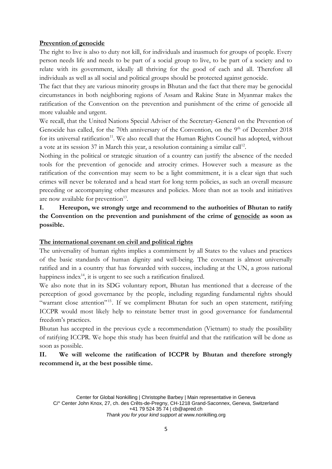#### **Prevention of genocide**

The right to live is also to duty not kill, for individuals and inasmuch for groups of people. Every person needs life and needs to be part of a social group to live, to be part of a society and to relate with its government, ideally all thriving for the good of each and all. Therefore all individuals as well as all social and political groups should be protected against genocide.

The fact that they are various minority groups in Bhutan and the fact that there may be genocidal circumstances in both neighboring regions of Assam and Rakine State in Myanmar makes the ratification of the Convention on the prevention and punishment of the crime of genocide all more valuable and urgent.

We recall, that the United Nations Special Adviser of the Secretary-General on the Prevention of Genocide has called, for the 70th anniversary of the Convention, on the 9<sup>th</sup> of December 2018 for its universal ratification<sup>11</sup>. We also recall that the Human Rights Council has adopted, without a vote at its session 37 in March this year, a resolution containing a similar call<sup>12</sup>.

Nothing in the political or strategic situation of a country can justify the absence of the needed tools for the prevention of genocide and atrocity crimes. However such a measure as the ratification of the convention may seem to be a light commitment, it is a clear sign that such crimes will never be tolerated and a head start for long term policies, as such an overall measure preceding or accompanying other measures and policies. More than not as tools and initiatives are now available for prevention<sup>13</sup>.

**I. Hereupon, we strongly urge and recommend to the authorities of Bhutan to ratify the Convention on the prevention and punishment of the crime of genocide as soon as possible.** 

#### **The international covenant on civil and political rights**

The universality of human rights implies a commitment by all States to the values and practices of the basic standards of human dignity and well-being. The covenant is almost universally ratified and in a country that has forwarded with success, including at the UN, a gross national happiness index $^{14}$ , it is urgent to see such a ratification finalized.

We also note that in its SDG voluntary report, Bhutan has mentioned that a decrease of the perception of good governance by the people, including regarding fundamental rights should "warrant close attention"<sup>15</sup>. If we compliment Bhutan for such an open statement, ratifying ICCPR would most likely help to reinstate better trust in good governance for fundamental freedom's practices.

Bhutan has accepted in the previous cycle a recommendation (Vietnam) to study the possibility of ratifying ICCPR. We hope this study has been fruitful and that the ratification will be done as soon as possible.

## **II. We will welcome the ratification of ICCPR by Bhutan and therefore strongly recommend it, at the best possible time.**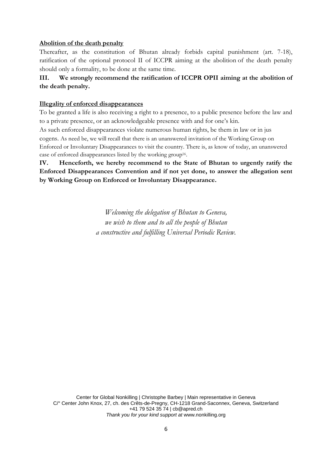#### **Abolition of the death penalty**

Thereafter, as the constitution of Bhutan already forbids capital punishment (art. 7-18), ratification of the optional protocol II of ICCPR aiming at the abolition of the death penalty should only a formality, to be done at the same time.

### **III. We strongly recommend the ratification of ICCPR OPII aiming at the abolition of the death penalty.**

#### **Illegality of enforced disappearances**

To be granted a life is also receiving a right to a presence, to a public presence before the law and to a private presence, or an acknowledgeable presence with and for one's kin.

As such enforced disappearances violate numerous human rights, be them in law or in jus cogens. As need be, we will recall that there is an unanswered invitation of the Working Group on Enforced or Involuntary Disappearances to visit the country. There is, as know of today, an unanswered case of enforced disappearances listed by the working group<sup>16</sup>.

**IV. Henceforth, we hereby recommend to the State of Bhutan to urgently ratify the Enforced Disappearances Convention and if not yet done, to answer the allegation sent by Working Group on Enforced or Involuntary Disappearance.** 

> *Welcoming the delegation of Bhutan to Geneva, we wish to them and to all the people of Bhutan a constructive and fulfilling Universal Periodic Review.*